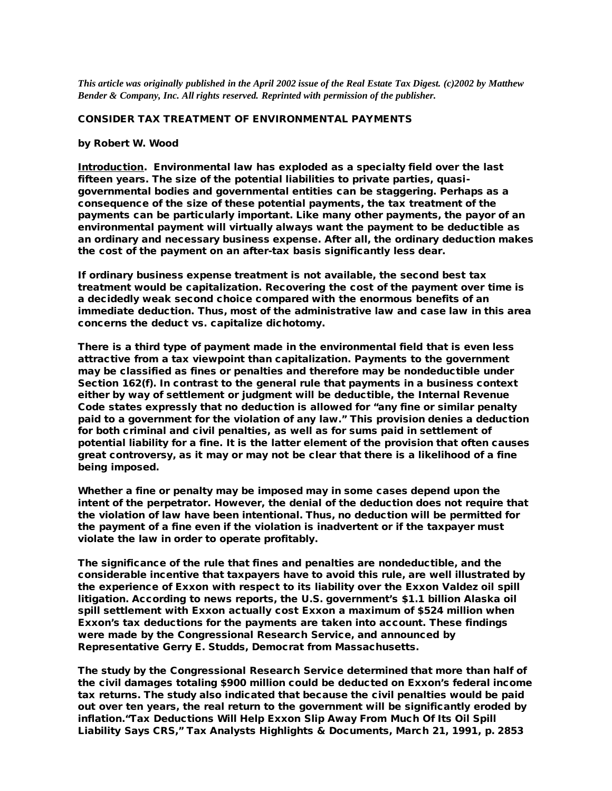*This article was originally published in the April 2002 issue of the Real Estate Tax Digest. (c)2002 by Matthew Bender & Company, Inc. All rights reserved. Reprinted with permission of the publisher.*

## CONSIDER TAX TREATMENT OF ENVIRONMENTAL PAYMENTS

## by Robert W. Wood

Introduction. Environmental law has exploded as a specialty field over the last fifteen years. The size of the potential liabilities to private parties, quasigovernmental bodies and governmental entities can be staggering. Perhaps as a consequence of the size of these potential payments, the tax treatment of the payments can be particularly important. Like many other payments, the payor of an environmental payment will virtually always want the payment to be deductible as an ordinary and necessary business expense. After all, the ordinary deduction makes the cost of the payment on an after-tax basis significantly less dear.

If ordinary business expense treatment is not available, the second best tax treatment would be capitalization. Recovering the cost of the payment over time is a decidedly weak second choice compared with the enormous benefits of an immediate deduction. Thus, most of the administrative law and case law in this area concerns the deduct vs. capitalize dichotomy.

There is a third type of payment made in the environmental field that is even less attractive from a tax viewpoint than capitalization. Payments to the government may be classified as fines or penalties and therefore may be nondeductible under Section 162(f). In contrast to the general rule that payments in a business context either by way of settlement or judgment will be deductible, the Internal Revenue Code states expressly that no deduction is allowed for "any fine or similar penalty paid to a government for the violation of any law." This provision denies a deduction for both criminal and civil penalties, as well as for sums paid in settlement of potential liability for a fine. It is the latter element of the provision that often causes great controversy, as it may or may not be clear that there is a likelihood of a fine being imposed.

Whether a fine or penalty may be imposed may in some cases depend upon the intent of the perpetrator. However, the denial of the deduction does not require that the violation of law have been intentional. Thus, no deduction will be permitted for the payment of a fine even if the violation is inadvertent or if the taxpayer must violate the law in order to operate profitably.

The significance of the rule that fines and penalties are nondeductible, and the considerable incentive that taxpayers have to avoid this rule, are well illustrated by the experience of Exxon with respect to its liability over the Exxon Valdez oil spill litigation. According to news reports, the U.S. government's \$1.1 billion Alaska oil spill settlement with Exxon actually cost Exxon a maximum of \$524 million when Exxon's tax deductions for the payments are taken into account. These findings were made by the Congressional Research Service, and announced by Representative Gerry E. Studds, Democrat from Massachusetts.

The study by the Congressional Research Service determined that more than half of the civil damages totaling \$900 million could be deducted on Exxon's federal income tax returns. The study also indicated that because the civil penalties would be paid out over ten years, the real return to the government will be significantly eroded by inflation."Tax Deductions Will Help Exxon Slip Away From Much Of Its Oil Spill Liability Says CRS," Tax Analysts Highlights & Documents, March 21, 1991, p. 2853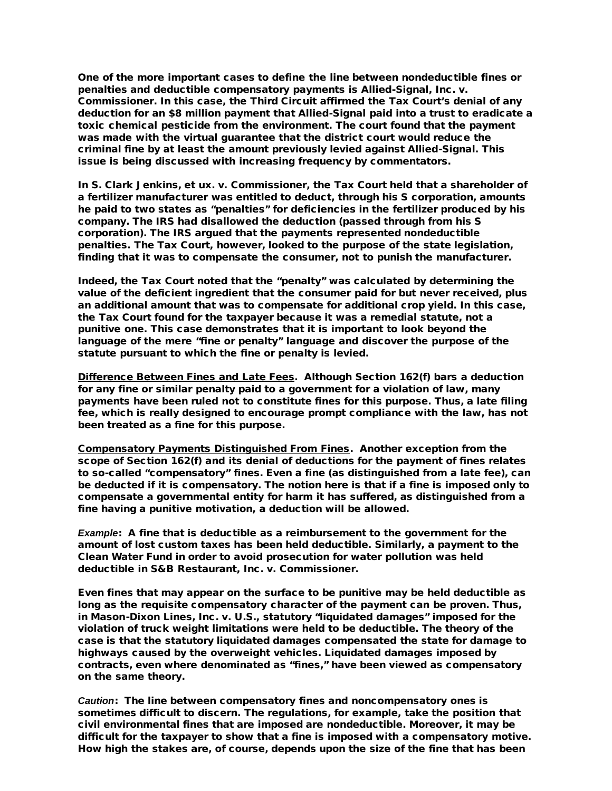One of the more important cases to define the line between nondeductible fines or penalties and deductible compensatory payments is Allied-Signal, Inc. v. Commissioner. In this case, the Third Circuit affirmed the Tax Court's denial of any deduction for an \$8 million payment that Allied-Signal paid into a trust to eradicate a toxic chemical pesticide from the environment. The court found that the payment was made with the virtual guarantee that the district court would reduce the criminal fine by at least the amount previously levied against Allied-Signal. This issue is being discussed with increasing frequency by commentators.

In S. Clark Jenkins, et ux. v. Commissioner, the Tax Court held that a shareholder of a fertilizer manufacturer was entitled to deduct, through his S corporation, amounts he paid to two states as "penalties" for deficiencies in the fertilizer produced by his company. The IRS had disallowed the deduction (passed through from his S corporation). The IRS argued that the payments represented nondeductible penalties. The Tax Court, however, looked to the purpose of the state legislation, finding that it was to compensate the consumer, not to punish the manufacturer.

Indeed, the Tax Court noted that the "penalty" was calculated by determining the value of the deficient ingredient that the consumer paid for but never received, plus an additional amount that was to compensate for additional crop yield. In this case, the Tax Court found for the taxpayer because it was a remedial statute, not a punitive one. This case demonstrates that it is important to look beyond the language of the mere "fine or penalty" language and discover the purpose of the statute pursuant to which the fine or penalty is levied.

Difference Between Fines and Late Fees. Although Section 162(f) bars a deduction for any fine or similar penalty paid to a government for a violation of law, many payments have been ruled not to constitute fines for this purpose. Thus, a late filing fee, which is really designed to encourage prompt compliance with the law, has not been treated as a fine for this purpose.

Compensatory Payments Distinguished From Fines. Another exception from the scope of Section 162(f) and its denial of deductions for the payment of fines relates to so-called "compensatory" fines. Even a fine (as distinguished from a late fee), can be deducted if it is compensatory. The notion here is that if a fine is imposed only to compensate a governmental entity for harm it has suffered, as distinguished from a fine having a punitive motivation, a deduction will be allowed.

*Example*: A fine that is deductible as a reimbursement to the government for the amount of lost custom taxes has been held deductible. Similarly, a payment to the Clean Water Fund in order to avoid prosecution for water pollution was held deductible in S&B Restaurant, Inc. v. Commissioner.

Even fines that may appear on the surface to be punitive may be held deductible as long as the requisite compensatory character of the payment can be proven. Thus, in Mason-Dixon Lines, Inc. v. U.S., statutory "liquidated damages" imposed for the violation of truck weight limitations were held to be deductible. The theory of the case is that the statutory liquidated damages compensated the state for damage to highways caused by the overweight vehicles. Liquidated damages imposed by contracts, even where denominated as "fines," have been viewed as compensatory on the same theory.

*Caution*: The line between compensatory fines and noncompensatory ones is sometimes difficult to discern. The regulations, for example, take the position that civil environmental fines that are imposed are nondeductible. Moreover, it may be difficult for the taxpayer to show that a fine is imposed with a compensatory motive. How high the stakes are, of course, depends upon the size of the fine that has been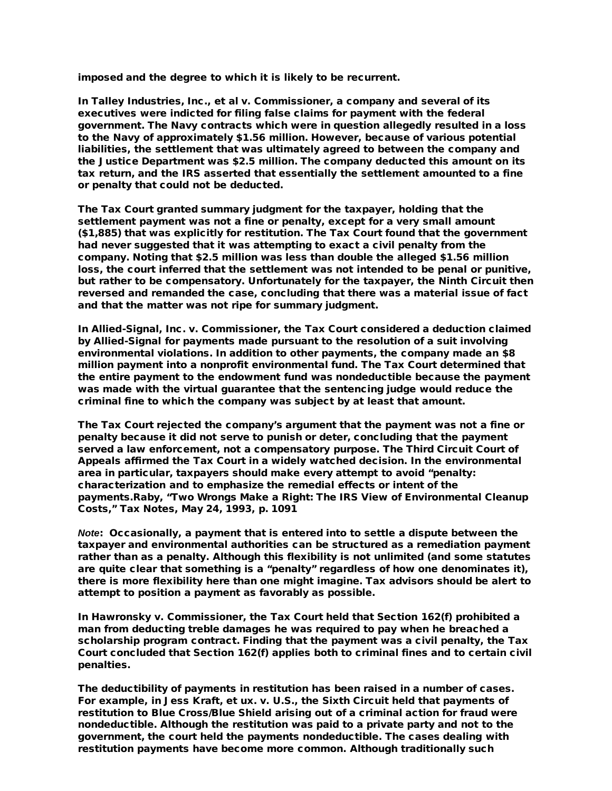imposed and the degree to which it is likely to be recurrent.

In Talley Industries, Inc., et al v. Commissioner, a company and several of its executives were indicted for filing false claims for payment with the federal government. The Navy contracts which were in question allegedly resulted in a loss to the Navy of approximately \$1.56 million. However, because of various potential liabilities, the settlement that was ultimately agreed to between the company and the Justice Department was \$2.5 million. The company deducted this amount on its tax return, and the IRS asserted that essentially the settlement amounted to a fine or penalty that could not be deducted.

The Tax Court granted summary judgment for the taxpayer, holding that the settlement payment was not a fine or penalty, except for a very small amount (\$1,885) that was explicitly for restitution. The Tax Court found that the government had never suggested that it was attempting to exact a civil penalty from the company. Noting that \$2.5 million was less than double the alleged \$1.56 million loss, the court inferred that the settlement was not intended to be penal or punitive, but rather to be compensatory. Unfortunately for the taxpayer, the Ninth Circuit then reversed and remanded the case, concluding that there was a material issue of fact and that the matter was not ripe for summary judgment.

In Allied-Signal, Inc. v. Commissioner, the Tax Court considered a deduction claimed by Allied-Signal for payments made pursuant to the resolution of a suit involving environmental violations. In addition to other payments, the company made an \$8 million payment into a nonprofit environmental fund. The Tax Court determined that the entire payment to the endowment fund was nondeductible because the payment was made with the virtual guarantee that the sentencing judge would reduce the criminal fine to which the company was subject by at least that amount.

The Tax Court rejected the company's argument that the payment was not a fine or penalty because it did not serve to punish or deter, concluding that the payment served a law enforcement, not a compensatory purpose. The Third Circuit Court of Appeals affirmed the Tax Court in a widely watched decision. In the environmental area in particular, taxpayers should make every attempt to avoid "penalty: characterization and to emphasize the remedial effects or intent of the payments.Raby, "Two Wrongs Make a Right: The IRS View of Environmental Cleanup Costs," Tax Notes, May 24, 1993, p. 1091

*Note*: Occasionally, a payment that is entered into to settle a dispute between the taxpayer and environmental authorities can be structured as a remediation payment rather than as a penalty. Although this flexibility is not unlimited (and some statutes are quite clear that something is a "penalty" regardless of how one denominates it), there is more flexibility here than one might imagine. Tax advisors should be alert to attempt to position a payment as favorably as possible.

In Hawronsky v. Commissioner, the Tax Court held that Section 162(f) prohibited a man from deducting treble damages he was required to pay when he breached a scholarship program contract. Finding that the payment was a civil penalty, the Tax Court concluded that Section 162(f) applies both to criminal fines and to certain civil penalties.

The deductibility of payments in restitution has been raised in a number of cases. For example, in Jess Kraft, et ux. v. U.S., the Sixth Circuit held that payments of restitution to Blue Cross/Blue Shield arising out of a criminal action for fraud were nondeductible. Although the restitution was paid to a private party and not to the government, the court held the payments nondeductible. The cases dealing with restitution payments have become more common. Although traditionally such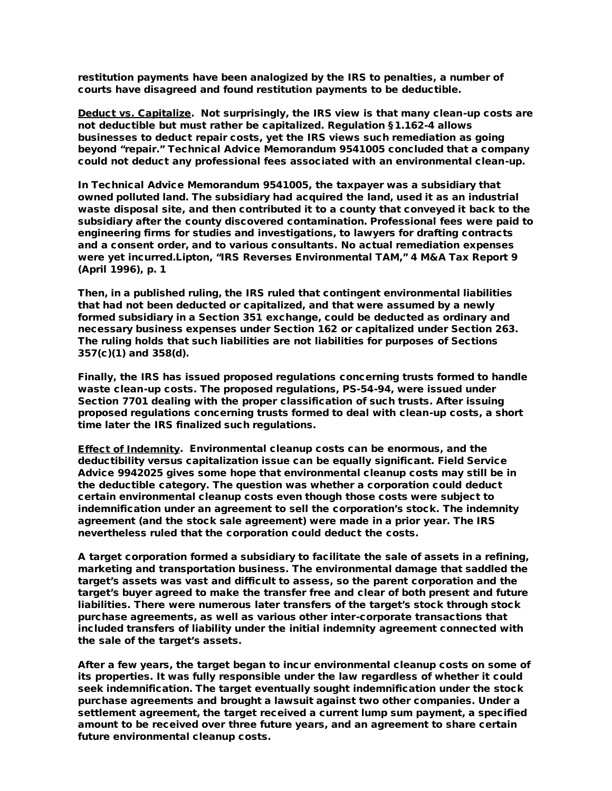restitution payments have been analogized by the IRS to penalties, a number of courts have disagreed and found restitution payments to be deductible.

Deduct vs. Capitalize. Not surprisingly, the IRS view is that many clean-up costs are not deductible but must rather be capitalized. Regulation §1.162-4 allows businesses to deduct repair costs, yet the IRS views such remediation as going beyond "repair." Technical Advice Memorandum 9541005 concluded that a company could not deduct any professional fees associated with an environmental clean-up.

In Technical Advice Memorandum 9541005, the taxpayer was a subsidiary that owned polluted land. The subsidiary had acquired the land, used it as an industrial waste disposal site, and then contributed it to a county that conveyed it back to the subsidiary after the county discovered contamination. Professional fees were paid to engineering firms for studies and investigations, to lawyers for drafting contracts and a consent order, and to various consultants. No actual remediation expenses were yet incurred.Lipton, "IRS Reverses Environmental TAM," 4 M&A Tax Report 9 (April 1996), p. 1

Then, in a published ruling, the IRS ruled that contingent environmental liabilities that had not been deducted or capitalized, and that were assumed by a newly formed subsidiary in a Section 351 exchange, could be deducted as ordinary and necessary business expenses under Section 162 or capitalized under Section 263. The ruling holds that such liabilities are not liabilities for purposes of Sections 357(c)(1) and 358(d).

Finally, the IRS has issued proposed regulations concerning trusts formed to handle waste clean-up costs. The proposed regulations, PS-54-94, were issued under Section 7701 dealing with the proper classification of such trusts. After issuing proposed regulations concerning trusts formed to deal with clean-up costs, a short time later the IRS finalized such regulations.

Effect of Indemnity. Environmental cleanup costs can be enormous, and the deductibility versus capitalization issue can be equally significant. Field Service Advice 9942025 gives some hope that environmental cleanup costs may still be in the deductible category. The question was whether a corporation could deduct certain environmental cleanup costs even though those costs were subject to indemnification under an agreement to sell the corporation's stock. The indemnity agreement (and the stock sale agreement) were made in a prior year. The IRS nevertheless ruled that the corporation could deduct the costs.

A target corporation formed a subsidiary to facilitate the sale of assets in a refining, marketing and transportation business. The environmental damage that saddled the target's assets was vast and difficult to assess, so the parent corporation and the target's buyer agreed to make the transfer free and clear of both present and future liabilities. There were numerous later transfers of the target's stock through stock purchase agreements, as well as various other inter-corporate transactions that included transfers of liability under the initial indemnity agreement connected with the sale of the target's assets.

After a few years, the target began to incur environmental cleanup costs on some of its properties. It was fully responsible under the law regardless of whether it could seek indemnification. The target eventually sought indemnification under the stock purchase agreements and brought a lawsuit against two other companies. Under a settlement agreement, the target received a current lump sum payment, a specified amount to be received over three future years, and an agreement to share certain future environmental cleanup costs.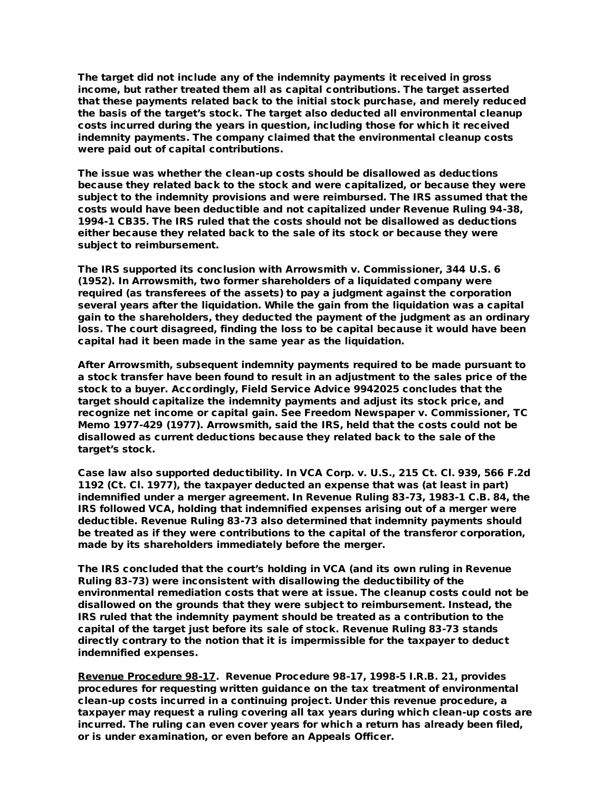The target did not include any of the indemnity payments it received in gross income, but rather treated them all as capital contributions. The target asserted that these payments related back to the initial stock purchase, and merely reduced the basis of the target's stock. The target also deducted all environmental cleanup costs incurred during the years in question, including those for which it received indemnity payments. The company claimed that the environmental cleanup costs were paid out of capital contributions.

The issue was whether the clean-up costs should be disallowed as deductions because they related back to the stock and were capitalized, or because they were subject to the indemnity provisions and were reimbursed. The IRS assumed that the costs would have been deductible and not capitalized under Revenue Ruling 94-38, 1994-1 CB35. The IRS ruled that the costs should not be disallowed as deductions either because they related back to the sale of its stock or because they were subject to reimbursement.

The IRS supported its conclusion with Arrowsmith v. Commissioner, 344 U.S. 6 (1952). In Arrowsmith, two former shareholders of a liquidated company were required (as transferees of the assets) to pay a judgment against the corporation several years after the liquidation. While the gain from the liquidation was a capital gain to the shareholders, they deducted the payment of the judgment as an ordinary loss. The court disagreed, finding the loss to be capital because it would have been capital had it been made in the same year as the liquidation.

After Arrowsmith, subsequent indemnity payments required to be made pursuant to a stock transfer have been found to result in an adjustment to the sales price of the stock to a buyer. Accordingly, Field Service Advice 9942025 concludes that the target should capitalize the indemnity payments and adjust its stock price, and recognize net income or capital gain. See Freedom Newspaper v. Commissioner, TC Memo 1977-429 (1977). Arrowsmith, said the IRS, held that the costs could not be disallowed as current deductions because they related back to the sale of the target's stock.

Case law also supported deductibility. In VCA Corp. v. U.S., 215 Ct. Cl. 939, 566 F.2d 1192 (Ct. Cl. 1977), the taxpayer deducted an expense that was (at least in part) indemnified under a merger agreement. In Revenue Ruling 83-73, 1983-1 C.B. 84, the IRS followed VCA, holding that indemnified expenses arising out of a merger were deductible. Revenue Ruling 83-73 also determined that indemnity payments should be treated as if they were contributions to the capital of the transferor corporation, made by its shareholders immediately before the merger.

The IRS concluded that the court's holding in VCA (and its own ruling in Revenue Ruling 83-73) were inconsistent with disallowing the deductibility of the environmental remediation costs that were at issue. The cleanup costs could not be disallowed on the grounds that they were subject to reimbursement. Instead, the IRS ruled that the indemnity payment should be treated as a contribution to the capital of the target just before its sale of stock. Revenue Ruling 83-73 stands directly contrary to the notion that it is impermissible for the taxpayer to deduct indemnified expenses.

Revenue Procedure 98-17. Revenue Procedure 98-17, 1998-5 I.R.B. 21, provides procedures for requesting written guidance on the tax treatment of environmental clean-up costs incurred in a continuing project. Under this revenue procedure, a taxpayer may request a ruling covering all tax years during which clean-up costs are incurred. The ruling can even cover years for which a return has already been filed, or is under examination, or even before an Appeals Officer.